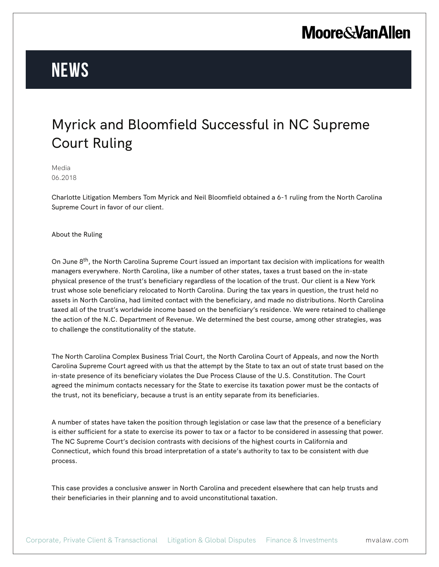## **Moore & Van Allen**

# **News**

### Myrick and Bloomfield Successful in NC Supreme Court Ruling

Media 06.2018

Charlotte Litigation Members Tom Myrick and Neil Bloomfield obtained a 6-1 ruling from the North Carolina Supreme Court in favor of our client.

About the Ruling

On June 8<sup>th</sup>, the North Carolina Supreme Court issued an important tax decision with implications for wealth managers everywhere. North Carolina, like a number of other states, taxes a trust based on the in-state physical presence of the trust's beneficiary regardless of the location of the trust. Our client is a New York trust whose sole beneficiary relocated to North Carolina. During the tax years in question, the trust held no assets in North Carolina, had limited contact with the beneficiary, and made no distributions. North Carolina taxed all of the trust's worldwide income based on the beneficiary's residence. We were retained to challenge the action of the N.C. Department of Revenue. We determined the best course, among other strategies, was to challenge the constitutionality of the statute.

The North Carolina Complex Business Trial Court, the North Carolina Court of Appeals, and now the North Carolina Supreme Court agreed with us that the attempt by the State to tax an out of state trust based on the in-state presence of its beneficiary violates the Due Process Clause of the U.S. Constitution. The Court agreed the minimum contacts necessary for the State to exercise its taxation power must be the contacts of the trust, not its beneficiary, because a trust is an entity separate from its beneficiaries.

A number of states have taken the position through legislation or case law that the presence of a beneficiary is either sufficient for a state to exercise its power to tax or a factor to be considered in assessing that power. The NC Supreme Court's decision contrasts with decisions of the highest courts in California and Connecticut, which found this broad interpretation of a state's authority to tax to be consistent with due process.

This case provides a conclusive answer in North Carolina and precedent elsewhere that can help trusts and their beneficiaries in their planning and to avoid unconstitutional taxation.